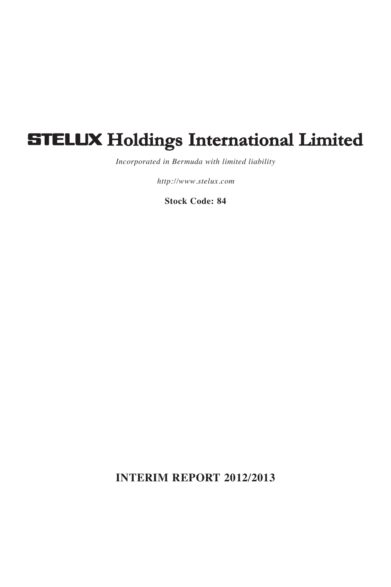# **STELUX Holdings International Limited**

*Incorporated in Bermuda with limited liability*

*http://www.stelux.com*

**Stock Code: 84**

**INTERIM REPORT 2012/2013**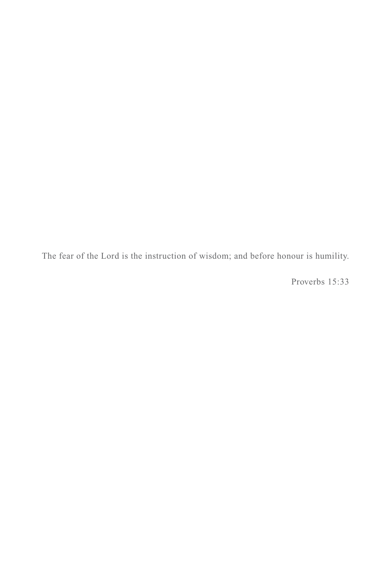The fear of the Lord is the instruction of wisdom; and before honour is humility.

Proverbs 15:33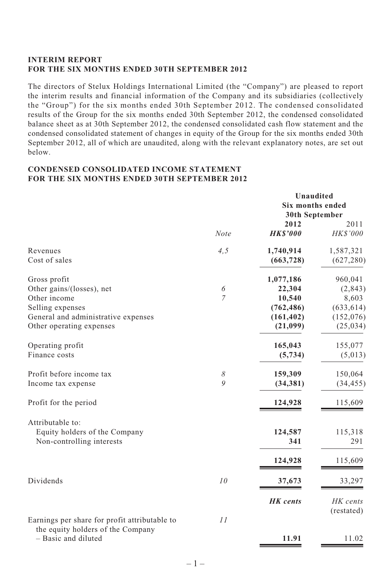#### **INTERIM REPORT FOR THE SIX MONTHS ENDED 30TH SEPTEMBER 2012**

The directors of Stelux Holdings International Limited (the "Company") are pleased to report the interim results and financial information of the Company and its subsidiaries (collectively the "Group") for the six months ended 30th September 2012. The condensed consolidated results of the Group for the six months ended 30th September 2012, the condensed consolidated balance sheet as at 30th September 2012, the condensed consolidated cash flow statement and the condensed consolidated statement of changes in equity of the Group for the six months ended 30th September 2012, all of which are unaudited, along with the relevant explanatory notes, are set out below.

#### **CONDENSED CONSOLIDATED INCOME STATEMENT FOR THE SIX MONTHS ENDED 30TH SEPTEMBER 2012**

|                                                                                    |                | Unaudited<br>Six months ended<br>30th September |                  |  |
|------------------------------------------------------------------------------------|----------------|-------------------------------------------------|------------------|--|
|                                                                                    | <b>Note</b>    | 2012<br><b>HKS'000</b>                          | 2011<br>HK\$'000 |  |
| Revenues                                                                           | 4, 5           | 1,740,914                                       | 1,587,321        |  |
| Cost of sales                                                                      |                | (663, 728)                                      | (627, 280)       |  |
| Gross profit                                                                       |                | 1,077,186                                       | 960,041          |  |
| Other gains/(losses), net                                                          | 6              | 22,304                                          | (2, 843)         |  |
| Other income                                                                       | $\overline{7}$ | 10,540                                          | 8,603            |  |
| Selling expenses                                                                   |                | (762, 486)                                      | (633, 614)       |  |
| General and administrative expenses                                                |                | (161, 402)                                      | (152,076)        |  |
| Other operating expenses                                                           |                | (21,099)                                        | (25, 034)        |  |
| Operating profit                                                                   |                | 165,043                                         | 155,077          |  |
| Finance costs                                                                      |                | (5, 734)                                        | (5,013)          |  |
| Profit before income tax                                                           | 8              | 159,309                                         | 150,064          |  |
| Income tax expense                                                                 | $\overline{Q}$ | (34, 381)                                       | (34, 455)        |  |
| Profit for the period                                                              |                | 124,928                                         | 115,609          |  |
| Attributable to:                                                                   |                |                                                 |                  |  |
| Equity holders of the Company                                                      |                | 124,587                                         | 115,318          |  |
| Non-controlling interests                                                          |                | 341                                             | 291              |  |
|                                                                                    |                | 124,928                                         | 115,609          |  |
| Dividends                                                                          | 10             | 37,673                                          | 33,297           |  |
|                                                                                    |                | <b>HK</b> cents                                 | HK cents         |  |
|                                                                                    |                |                                                 | (restated)       |  |
| Earnings per share for profit attributable to<br>the equity holders of the Company | 11             |                                                 |                  |  |
| - Basic and diluted                                                                |                | 11.91                                           | 11.02            |  |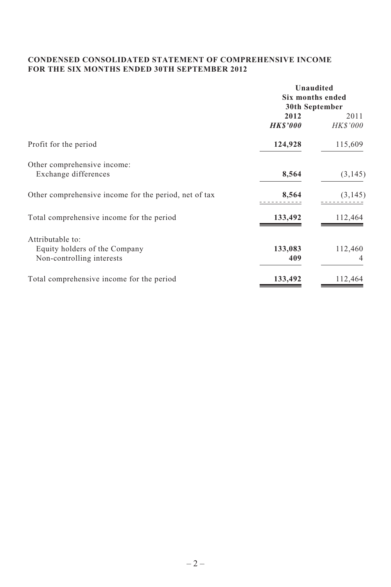# **CONDENSED CONSOLIDATED STATEMENT OF COMPREHENSIVE INCOME FOR THE SIX MONTHS ENDED 30TH SEPTEMBER 2012**

|                                                       | Unaudited<br>Six months ended |                |  |
|-------------------------------------------------------|-------------------------------|----------------|--|
|                                                       |                               |                |  |
|                                                       | 30th September                |                |  |
|                                                       | 2012                          | 2011           |  |
|                                                       | <b>HK\$'000</b>               | <b>HKS'000</b> |  |
| Profit for the period                                 | 124,928                       | 115,609        |  |
| Other comprehensive income:                           |                               |                |  |
| Exchange differences                                  | 8,564                         | (3, 145)       |  |
| Other comprehensive income for the period, net of tax | 8,564                         | (3, 145)       |  |
| Total comprehensive income for the period             | 133,492                       | 112,464        |  |
| Attributable to:                                      |                               |                |  |
| Equity holders of the Company                         | 133,083                       | 112,460        |  |
| Non-controlling interests                             | 409                           | 4              |  |
| Total comprehensive income for the period             | 133,492                       | 112,464        |  |
|                                                       |                               |                |  |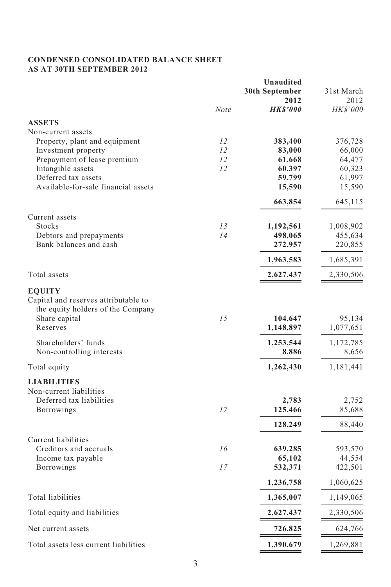# **CONDENSED CONSOLIDATED BALANCE SHEET AS AT 30TH SEPTEMBER 2012**

|                                                                                                                                                                             |             | Unaudited                         |                                  |  |
|-----------------------------------------------------------------------------------------------------------------------------------------------------------------------------|-------------|-----------------------------------|----------------------------------|--|
|                                                                                                                                                                             |             | 30th September<br>2012            | 31st March<br>2012               |  |
|                                                                                                                                                                             | <b>Note</b> | <b>HKS'000</b>                    | <b>HKS'000</b>                   |  |
| <b>ASSETS</b>                                                                                                                                                               |             |                                   |                                  |  |
| Non-current assets                                                                                                                                                          |             |                                   |                                  |  |
| Property, plant and equipment                                                                                                                                               | 12          | 383,400                           | 376,728                          |  |
| Investment property                                                                                                                                                         | 12          | 83,000                            | 66,000                           |  |
| Prepayment of lease premium                                                                                                                                                 | 12          | 61,668                            | 64,477                           |  |
| Intangible assets                                                                                                                                                           | 12          | 60,397                            | 60,323                           |  |
| Deferred tax assets<br>Available-for-sale financial assets                                                                                                                  |             | 59,799                            | 61,997                           |  |
|                                                                                                                                                                             |             | 15,590                            | 15,590                           |  |
|                                                                                                                                                                             |             | 663,854                           | 645,115                          |  |
| Current assets<br>Stocks                                                                                                                                                    | 13          | 1,192,561                         | 1,008,902                        |  |
| Debtors and prepayments                                                                                                                                                     | 14          | 498,065                           | 455,634                          |  |
| Bank balances and cash                                                                                                                                                      |             | 272,957                           | 220,855                          |  |
|                                                                                                                                                                             |             | 1,963,583                         | 1,685,391                        |  |
| Total assets                                                                                                                                                                |             | 2,627,437                         | 2,330,506                        |  |
| <b>EQUITY</b><br>Capital and reserves attributable to<br>the equity holders of the Company<br>Share capital<br>Reserves<br>Shareholders' funds<br>Non-controlling interests | 1.5         | 104,647<br>1,148,897<br>1,253,544 | 95,134<br>1,077,651<br>1,172,785 |  |
|                                                                                                                                                                             |             | 8,886                             | 8,656<br>1,181,441               |  |
| Total equity                                                                                                                                                                |             | 1,262,430                         |                                  |  |
| <b>LIABILITIES</b><br>Non-current liabilities<br>Deferred tax liabilities<br>Borrowings                                                                                     | 17          | 2,783<br>125,466<br>128,249       | 2,752<br>85,688<br>88,440        |  |
|                                                                                                                                                                             |             |                                   |                                  |  |
| Current liabilities<br>Creditors and accruals                                                                                                                               | 16          | 639,285                           | 593,570                          |  |
| Income tax payable                                                                                                                                                          |             | 65,102                            | 44,554                           |  |
| <b>Borrowings</b>                                                                                                                                                           | 17          | 532,371                           | 422,501                          |  |
|                                                                                                                                                                             |             | 1,236,758                         | 1,060,625                        |  |
| Total liabilities                                                                                                                                                           |             | 1,365,007                         | 1,149,065                        |  |
| Total equity and liabilities                                                                                                                                                |             | 2,627,437                         | 2,330,506                        |  |
| Net current assets                                                                                                                                                          |             | 726,825                           | 624,766                          |  |
| Total assets less current liabilities                                                                                                                                       |             | 1,390,679                         | 1,269,881                        |  |
|                                                                                                                                                                             |             |                                   |                                  |  |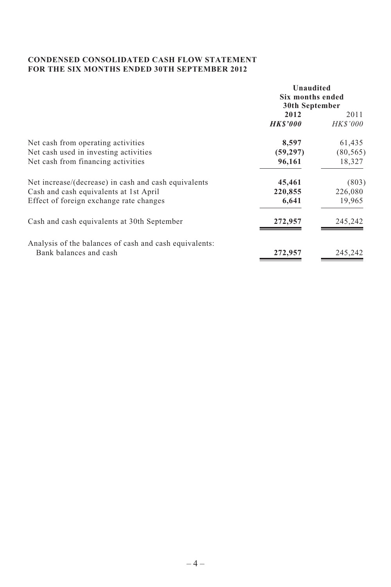# **CONDENSED CONSOLIDATED CASH FLOW STATEMENT FOR THE SIX MONTHS ENDED 30TH SEPTEMBER 2012**

|                                                        | Unaudited<br>Six months ended<br>30th September |                         |  |
|--------------------------------------------------------|-------------------------------------------------|-------------------------|--|
|                                                        | 2012<br><b>HKS'000</b>                          | 2011<br><b>HK\$'000</b> |  |
| Net cash from operating activities                     | 8,597                                           | 61,435                  |  |
| Net cash used in investing activities                  | (59, 297)                                       | (80, 565)               |  |
| Net cash from financing activities                     | 96,161                                          | 18,327                  |  |
| Net increase/(decrease) in cash and cash equivalents   | 45,461                                          | (803)                   |  |
| Cash and cash equivalents at 1st April                 | 220,855                                         | 226,080                 |  |
| Effect of foreign exchange rate changes                | 6,641                                           | 19,965                  |  |
| Cash and cash equivalents at 30th September            | 272,957                                         | 245,242                 |  |
| Analysis of the balances of cash and cash equivalents: |                                                 |                         |  |
| Bank balances and cash                                 | 272,957                                         | 245,242                 |  |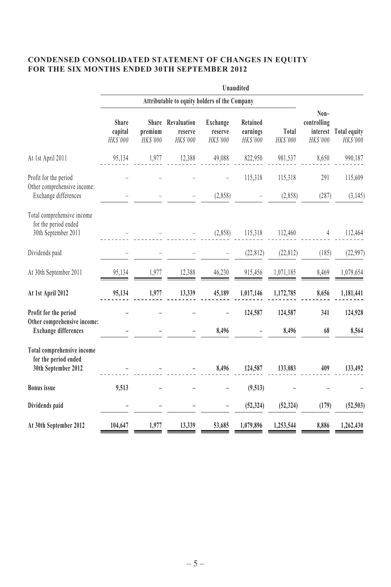# **CONDENSED CONSOLIDATED STATEMENT OF CHANGES IN EQUITY FOR THE SIX MONTHS ENDED 30TH SEPTEMBER 2012**

|                                                                              |                                               |                     |                                          |                                 | <b>Unaudited</b>                 |                    |                                 |                                   |
|------------------------------------------------------------------------------|-----------------------------------------------|---------------------|------------------------------------------|---------------------------------|----------------------------------|--------------------|---------------------------------|-----------------------------------|
|                                                                              | Attributable to equity holders of the Company |                     |                                          |                                 |                                  |                    |                                 |                                   |
|                                                                              | Share<br>capital<br>HK\$'000                  | premium<br>HK\$'000 | Share Revaluation<br>reserve<br>HK\$'000 | Exchange<br>reserve<br>HK\$'000 | Retained<br>earnings<br>HK\$'000 | Total<br>HK\$'000  | Non-<br>controlling<br>HK\$'000 | interest Total equity<br>HK\$'000 |
| At 1st April 2011                                                            | 95,134                                        | 1,977               | 12,388                                   | 49,088                          | 822,950                          | 981,537            | 8,650                           | 990,187                           |
| Profit for the period<br>Other comprehensive income:<br>Exchange differences |                                               |                     |                                          | (2,858)                         | 115,318                          | 115,318<br>(2,858) | 291<br>(287)                    | 115,609<br>(3, 145)               |
| Total comprehensive income<br>for the period ended<br>30th September 2011    |                                               |                     |                                          | (2,858)                         | 115,318                          | 112,460            | 4                               | 112,464                           |
| Dividends paid                                                               |                                               |                     |                                          |                                 | (22, 812)                        | (22, 812)          | (185)                           | (22,997)                          |
| At 30th September 2011                                                       | 95,134                                        | 1,977               | 12,388                                   | 46,230                          | 915,456                          | 1,071,185          | 8,469                           | 1,079,654                         |
| At 1st April 2012                                                            | 95,134                                        | 1,977               | 13,339                                   | 45,189                          | 1,017,146                        | 1,172,785          | 8,656                           | 1,181,441                         |
| Profit for the period<br>Other comprehensive income:                         |                                               |                     |                                          |                                 | 124,587                          | 124,587            | 341                             | 124,928                           |
| <b>Exchange differences</b>                                                  |                                               |                     |                                          | 8,496                           |                                  | 8,496              | 68                              | 8,564                             |
| Total comprehensive income<br>for the period ended<br>30th September 2012    |                                               |                     |                                          | 8,496                           | 124,587                          | 133,083            | 409                             | 133,492                           |
| <b>Bonus</b> issue                                                           | 9,513                                         |                     |                                          |                                 | (9,513)                          |                    |                                 |                                   |
| Dividends paid                                                               |                                               |                     |                                          |                                 | (52, 324)                        | (52, 324)          | (179)                           | (52, 503)                         |
| At 30th September 2012                                                       | 104,647                                       | 1,977               | 13,339                                   | 53,685                          | 1,079,896                        | 1,253,544          | 8,886                           | 1,262,430                         |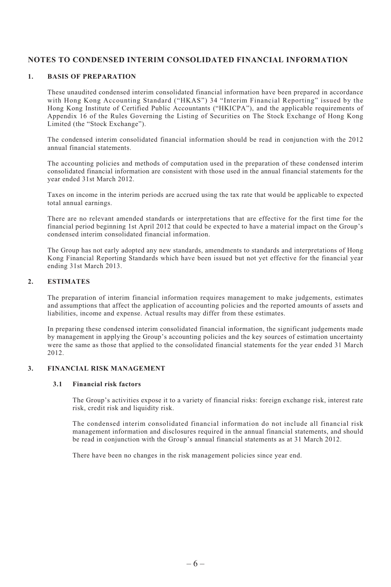# **NOTES TO CONDENSED INTERIM CONSOLIDATED FINANCIAL INFORMATION**

#### **1. BASIS OF PREPARATION**

These unaudited condensed interim consolidated financial information have been prepared in accordance with Hong Kong Accounting Standard ("HKAS") 34 "Interim Financial Reporting" issued by the Hong Kong Institute of Certified Public Accountants ("HKICPA"), and the applicable requirements of Appendix 16 of the Rules Governing the Listing of Securities on The Stock Exchange of Hong Kong Limited (the "Stock Exchange").

The condensed interim consolidated financial information should be read in conjunction with the 2012 annual financial statements.

The accounting policies and methods of computation used in the preparation of these condensed interim consolidated financial information are consistent with those used in the annual financial statements for the year ended 31st March 2012.

Taxes on income in the interim periods are accrued using the tax rate that would be applicable to expected total annual earnings.

There are no relevant amended standards or interpretations that are effective for the first time for the financial period beginning 1st April 2012 that could be expected to have a material impact on the Group's condensed interim consolidated financial information.

The Group has not early adopted any new standards, amendments to standards and interpretations of Hong Kong Financial Reporting Standards which have been issued but not yet effective for the financial year ending 31st March 2013.

#### **2. ESTIMATES**

The preparation of interim financial information requires management to make judgements, estimates and assumptions that affect the application of accounting policies and the reported amounts of assets and liabilities, income and expense. Actual results may differ from these estimates.

In preparing these condensed interim consolidated financial information, the significant judgements made by management in applying the Group's accounting policies and the key sources of estimation uncertainty were the same as those that applied to the consolidated financial statements for the year ended 31 March 2012.

#### **3. FINANCIAL RISK MANAGEMENT**

#### **3.1 Financial risk factors**

The Group's activities expose it to a variety of financial risks: foreign exchange risk, interest rate risk, credit risk and liquidity risk.

The condensed interim consolidated financial information do not include all financial risk management information and disclosures required in the annual financial statements, and should be read in conjunction with the Group's annual financial statements as at 31 March 2012.

There have been no changes in the risk management policies since year end.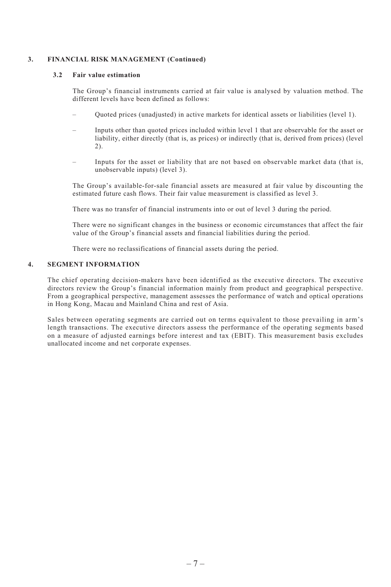#### **3. FINANCIAL RISK MANAGEMENT (Continued)**

#### **3.2 Fair value estimation**

The Group's financial instruments carried at fair value is analysed by valuation method. The different levels have been defined as follows:

- Quoted prices (unadjusted) in active markets for identical assets or liabilities (level 1).
- Inputs other than quoted prices included within level 1 that are observable for the asset or liability, either directly (that is, as prices) or indirectly (that is, derived from prices) (level 2).
- Inputs for the asset or liability that are not based on observable market data (that is, unobservable inputs) (level 3).

The Group's available-for-sale financial assets are measured at fair value by discounting the estimated future cash flows. Their fair value measurement is classified as level 3.

There was no transfer of financial instruments into or out of level 3 during the period.

There were no significant changes in the business or economic circumstances that affect the fair value of the Group's financial assets and financial liabilities during the period.

There were no reclassifications of financial assets during the period.

#### **4. SEGMENT INFORMATION**

The chief operating decision-makers have been identified as the executive directors. The executive directors review the Group's financial information mainly from product and geographical perspective. From a geographical perspective, management assesses the performance of watch and optical operations in Hong Kong, Macau and Mainland China and rest of Asia.

Sales between operating segments are carried out on terms equivalent to those prevailing in arm's length transactions. The executive directors assess the performance of the operating segments based on a measure of adjusted earnings before interest and tax (EBIT). This measurement basis excludes unallocated income and net corporate expenses.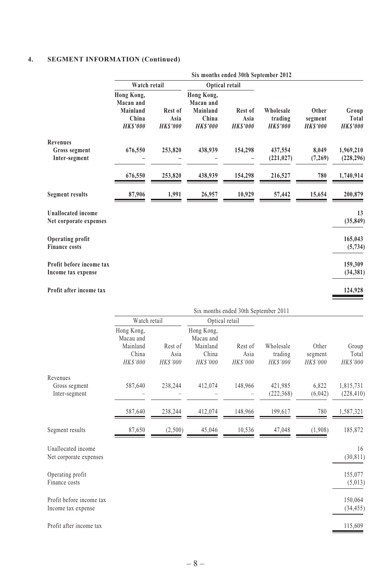# **4. SEGMENT INFORMATION (Continued)**

|                                                     | Six months ended 30th September 2012                           |                                    |                                                                |                                   |                                        |                                    |                                   |
|-----------------------------------------------------|----------------------------------------------------------------|------------------------------------|----------------------------------------------------------------|-----------------------------------|----------------------------------------|------------------------------------|-----------------------------------|
|                                                     | Watch retail                                                   |                                    |                                                                | Optical retail                    |                                        |                                    |                                   |
|                                                     | Hong Kong,<br>Macau and<br>Mainland<br>China<br><b>HKS'000</b> | Rest of<br>Asia<br><b>HK\$'000</b> | Hong Kong,<br>Macau and<br>Mainland<br>China<br><b>HKS'000</b> | Rest of<br>Asia<br><b>HKS'000</b> | Wholesale<br>trading<br><b>HKS'000</b> | Other<br>segment<br><b>HKS'000</b> | Group<br>Total<br><b>HK\$'000</b> |
| <b>Revenues</b><br>Gross segment<br>Inter-segment   | 676,550                                                        | 253,820                            | 438,939                                                        | 154,298                           | 437,554<br>(221, 027)                  | 8,049<br>(7,269)                   | 1,969,210<br>(228, 296)           |
|                                                     | 676,550                                                        | 253,820                            | 438,939                                                        | 154,298                           | 216,527                                | 780                                | 1,740,914                         |
| <b>Segment results</b>                              | 87,906                                                         | 1,991                              | 26,957                                                         | 10,929                            | 57,442                                 | 15,654                             | 200,879                           |
| <b>Unallocated income</b><br>Net corporate expenses |                                                                |                                    |                                                                |                                   |                                        |                                    | 13<br>(35, 849)                   |
| Operating profit<br><b>Finance costs</b>            |                                                                |                                    |                                                                |                                   |                                        |                                    | 165,043<br>(5, 734)               |
| Profit before income tax<br>Income tax expense      |                                                                |                                    |                                                                |                                   |                                        |                                    | 159,309<br>(34, 381)              |
| Profit after income tax                             |                                                                |                                    |                                                                |                                   |                                        |                                    | 124,928                           |

|                                                | Six months ended 30th September 2011                     |                             |                                                                 |                             |                                        |                                    |                            |
|------------------------------------------------|----------------------------------------------------------|-----------------------------|-----------------------------------------------------------------|-----------------------------|----------------------------------------|------------------------------------|----------------------------|
|                                                | Watch retail                                             |                             | Optical retail                                                  |                             |                                        |                                    |                            |
|                                                | Hong Kong,<br>Macau and<br>Mainland<br>China<br>HK\$'000 | Rest of<br>Asia<br>HK\$'000 | Hong Kong,<br>Macau and<br>Mainland<br>China<br><b>HK\$'000</b> | Rest of<br>Asia<br>HK\$'000 | Wholesale<br>trading<br><b>HKS'000</b> | Other<br>segment<br><b>HKS'000</b> | Group<br>Total<br>HK\$'000 |
| Revenues<br>Gross segment<br>Inter-segment     | 587,640                                                  | 238,244                     | 412,074                                                         | 148,966                     | 421,985<br>(222, 368)                  | 6,822<br>(6,042)                   | 1,815,731<br>(228, 410)    |
|                                                | 587,640                                                  | 238,244                     | 412,074                                                         | 148,966                     | 199,617                                | 780                                | 1,587,321                  |
| Segment results                                | 87,650                                                   | (2,500)                     | 45,046                                                          | 10,536                      | 47,048                                 | (1,908)                            | 185,872                    |
| Unallocated income<br>Net corporate expenses   |                                                          |                             |                                                                 |                             |                                        |                                    | 16<br>(30, 811)            |
| Operating profit<br>Finance costs              |                                                          |                             |                                                                 |                             |                                        |                                    | 155,077<br>(5,013)         |
| Profit before income tax<br>Income tax expense |                                                          |                             |                                                                 |                             |                                        |                                    | 150,064<br>(34, 455)       |
| Profit after income tax                        |                                                          |                             |                                                                 |                             |                                        |                                    | 115,609                    |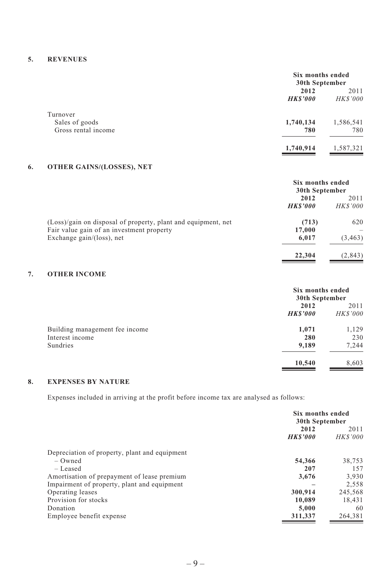## **5. REVENUES**

|                            | Six months ended<br>30th September |                 |
|----------------------------|------------------------------------|-----------------|
|                            | 2012                               | 2011            |
|                            | <b>HK\$'000</b>                    | <b>HK\$'000</b> |
| Turnover<br>Sales of goods | 1,740,134                          | 1,586,541       |
| Gross rental income        | 780                                | 780             |
|                            |                                    |                 |
|                            | 1,740,914                          | 1,587,321       |

# **6. OTHER GAINS/(LOSSES), NET**

|                                                               | Six months ended<br>30th September |                |  |
|---------------------------------------------------------------|------------------------------------|----------------|--|
|                                                               | 2012                               | 2011           |  |
|                                                               | <b>HKS'000</b>                     | <b>HKS'000</b> |  |
| (Loss)/gain on disposal of property, plant and equipment, net | (713)                              | 620            |  |
| Fair value gain of an investment property                     | 17,000                             |                |  |
| Exchange $gain/(loss)$ , net                                  | 6,017                              | (3, 463)       |  |
|                                                               | 22,304                             | (2, 843)       |  |

# **7. OTHER INCOME**

|                                | Six months ended<br>30th September |                |  |
|--------------------------------|------------------------------------|----------------|--|
|                                | 2012                               |                |  |
|                                | <b>HKS'000</b>                     | <b>HKS'000</b> |  |
| Building management fee income | 1,071                              | 1,129          |  |
| Interest income                | 280                                | 230            |  |
| Sundries                       | 9,189                              | 7.244          |  |
|                                | 10,540                             | 8,603          |  |

# **8. EXPENSES BY NATURE**

Expenses included in arriving at the profit before income tax are analysed as follows:

|                                                            | Six months ended<br>30th September |                |
|------------------------------------------------------------|------------------------------------|----------------|
|                                                            | 2012<br><b>HKS'000</b>             |                |
|                                                            |                                    | <b>HKS'000</b> |
| Depreciation of property, plant and equipment<br>$-$ Owned | 54,366                             | 38.753         |
| $-$ Leased                                                 | 207                                | 157            |
| Amortisation of prepayment of lease premium                | 3.676                              | 3.930          |
| Impairment of property, plant and equipment                |                                    | 2.558          |
| Operating leases                                           | 300.914                            | 245,568        |
| Provision for stocks                                       | 10,089                             | 18.431         |
| Donation                                                   | 5.000                              | 60             |
| Employee benefit expense                                   | 311,337                            | 264.381        |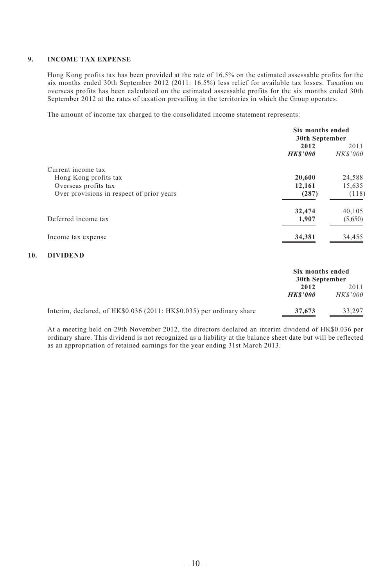#### **9. INCOME TAX EXPENSE**

Hong Kong profits tax has been provided at the rate of 16.5% on the estimated assessable profits for the six months ended 30th September 2012 (2011: 16.5%) less relief for available tax losses. Taxation on overseas profits has been calculated on the estimated assessable profits for the six months ended 30th September 2012 at the rates of taxation prevailing in the territories in which the Group operates.

The amount of income tax charged to the consolidated income statement represents:

|                                           | Six months ended<br>30th September |                        |  |
|-------------------------------------------|------------------------------------|------------------------|--|
|                                           | 2012<br><b>HKS'000</b>             | 2011<br><b>HKS'000</b> |  |
| Current income tax                        |                                    |                        |  |
| Hong Kong profits tax                     | 20,600                             | 24,588                 |  |
| Overseas profits tax                      | 12,161                             | 15,635                 |  |
| Over provisions in respect of prior years | (287)                              | (118)                  |  |
|                                           | 32,474                             | 40,105                 |  |
| Deferred income tax                       | 1,907                              | (5,650)                |  |
| Income tax expense                        | 34,381                             | 34,455                 |  |

#### **10. DIVIDEND**

|                                                                      | Six months ended<br>30th September |                        |
|----------------------------------------------------------------------|------------------------------------|------------------------|
|                                                                      | 2012<br><b>HKS'000</b>             | 2011<br><b>HKS'000</b> |
| Interim, declared, of HK\$0.036 (2011: HK\$0.035) per ordinary share | 37,673                             | 33.297                 |

At a meeting held on 29th November 2012, the directors declared an interim dividend of HK\$0.036 per ordinary share. This dividend is not recognized as a liability at the balance sheet date but will be reflected as an appropriation of retained earnings for the year ending 31st March 2013.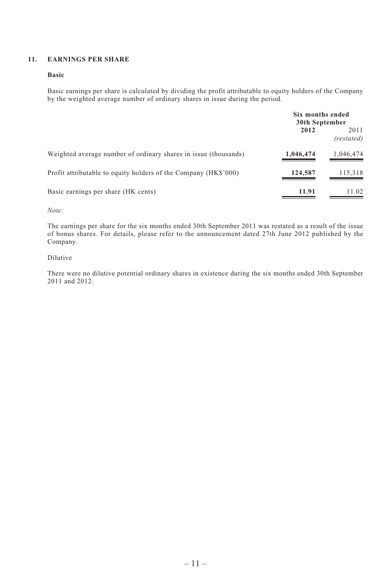#### **11. EARNINGS PER SHARE**

#### **Basic**

Basic earnings per share is calculated by dividing the profit attributable to equity holders of the Company by the weighted average number of ordinary shares in issue during the period.

|                                                                 | Six months ended<br>30th September |                    |
|-----------------------------------------------------------------|------------------------------------|--------------------|
|                                                                 | 2012                               | 2011<br>(restated) |
| Weighted average number of ordinary shares in issue (thousands) | 1,046,474                          | 1,046,474          |
| Profit attributable to equity holders of the Company (HK\$'000) | 124,587                            | 115,318            |
| Basic earnings per share (HK cents)                             | 11.91                              | 11.02              |

*Note:*

The earnings per share for the six months ended 30th September 2011 was restated as a result of the issue of bonus shares. For details, please refer to the announcement dated 27th June 2012 published by the Company.

#### Dilutive

There were no dilutive potential ordinary shares in existence during the six months ended 30th September 2011 and 2012.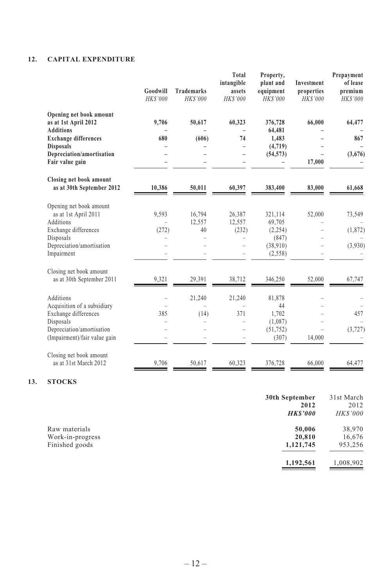# **12. CAPITAL EXPENDITURE**

| Goodwill<br>HK\$'000 | <b>Trademarks</b><br>HK\$'000 | Total<br>intangible<br>assets<br>HK\$'000 | Property,<br>plant and<br>equipment<br>HK\$'000 | Investment<br>properties<br>HK\$'000                                     | Prepayment<br>of lease<br>premium<br>HK\$'000 |
|----------------------|-------------------------------|-------------------------------------------|-------------------------------------------------|--------------------------------------------------------------------------|-----------------------------------------------|
| 9,706                | 50,617                        | 60,323                                    | 376,728                                         | 66,000                                                                   | 64,477                                        |
| 680                  | (606)                         | 74                                        | 1,483                                           |                                                                          | 867                                           |
|                      |                               |                                           | (4,719)                                         |                                                                          |                                               |
|                      |                               |                                           |                                                 | 17,000                                                                   | (3,676)                                       |
| 10.386               | 50.011                        | 60,397                                    | 383,400                                         | 83,000                                                                   | 61,668                                        |
|                      |                               |                                           |                                                 |                                                                          |                                               |
|                      |                               |                                           |                                                 |                                                                          | 73,549                                        |
|                      | 40                            | (232)                                     | (2,254)                                         |                                                                          | (1, 872)                                      |
|                      |                               |                                           | (847)                                           |                                                                          |                                               |
|                      |                               |                                           | (2,558)                                         |                                                                          | (3,930)                                       |
|                      |                               |                                           |                                                 |                                                                          |                                               |
| 9,321                | 29,391                        | 38,712                                    | 346,250                                         | 52,000                                                                   | 67,747                                        |
|                      | 21,240                        | 21,240                                    | 81,878                                          |                                                                          |                                               |
|                      |                               |                                           | 44                                              |                                                                          |                                               |
|                      |                               |                                           |                                                 |                                                                          | 457                                           |
|                      | L.                            |                                           | (51, 752)                                       |                                                                          | (3, 727)                                      |
|                      |                               |                                           | (307)                                           | 14,000                                                                   |                                               |
| 9.706                | 50.617                        | 60.323                                    | 376.728                                         | 66,000                                                                   | 64.477                                        |
|                      | 9,593<br>(272)<br>385         | 16,794<br>12.557<br>(14)<br>÷             | 26,387<br>12,557<br>371                         | 64,481<br>(54, 573)<br>321,114<br>69,705<br>(38,910)<br>1.702<br>(1,087) | 52,000                                        |

# **13. STOCKS**

|                  | 30th September<br>2012<br><b>HKS'000</b> | 31st March<br>2012<br><b>HKS'000</b> |
|------------------|------------------------------------------|--------------------------------------|
| Raw materials    | 50,006                                   | 38,970                               |
| Work-in-progress | 20,810                                   | 16,676                               |
| Finished goods   | 1,121,745                                | 953,256                              |
|                  | 1,192,561                                | 1,008,902                            |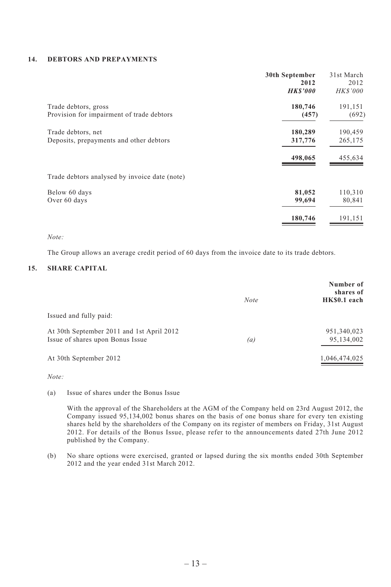#### **14. DEBTORS AND PREPAYMENTS**

|                                               | 30th September | 31st March      |
|-----------------------------------------------|----------------|-----------------|
|                                               | 2012           | 2012            |
|                                               | <b>HKS'000</b> | <b>HK\$'000</b> |
| Trade debtors, gross                          | 180,746        | 191,151         |
| Provision for impairment of trade debtors     | (457)          | (692)           |
| Trade debtors, net                            | 180,289        | 190,459         |
| Deposits, prepayments and other debtors       | 317,776        | 265,175         |
|                                               | 498.065        | 455,634         |
| Trade debtors analysed by invoice date (note) |                |                 |
| Below 60 days                                 | 81,052         | 110,310         |
| Over 60 days                                  | 99,694         | 80,841          |
|                                               | 180,746        | 191,151         |

#### *Note:*

The Group allows an average credit period of 60 days from the invoice date to its trade debtors.

#### **15. SHARE CAPITAL**

|                                                                               | <b>Note</b> | Number of<br>shares of<br>HK\$0.1 each |
|-------------------------------------------------------------------------------|-------------|----------------------------------------|
| Issued and fully paid:                                                        |             |                                        |
| At 30th September 2011 and 1st April 2012<br>Issue of shares upon Bonus Issue | (a)         | 951,340,023<br>95,134,002              |
| At 30th September 2012                                                        |             | 1,046,474,025                          |

*Note:*

(a) Issue of shares under the Bonus Issue

With the approval of the Shareholders at the AGM of the Company held on 23rd August 2012, the Company issued 95,134,002 bonus shares on the basis of one bonus share for every ten existing shares held by the shareholders of the Company on its register of members on Friday, 31st August 2012. For details of the Bonus Issue, please refer to the announcements dated 27th June 2012 published by the Company.

(b) No share options were exercised, granted or lapsed during the six months ended 30th September 2012 and the year ended 31st March 2012.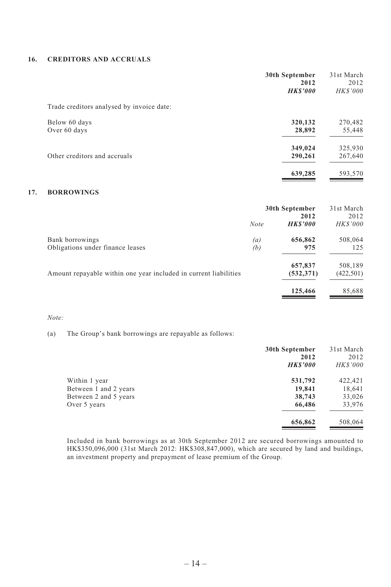#### **16. CREDITORS AND ACCRUALS**

|                                           | 30th September<br>2012<br><b>HKS'000</b> | 31st March<br>2012<br><b>HKS'000</b> |
|-------------------------------------------|------------------------------------------|--------------------------------------|
| Trade creditors analysed by invoice date: |                                          |                                      |
| Below 60 days                             | 320,132                                  | 270,482                              |
| Over 60 days                              | 28,892                                   | 55,448                               |
|                                           | 349,024                                  | 325,930                              |
| Other creditors and accruals              | 290,261                                  | 267,640                              |
|                                           | 639,285                                  | 593,570                              |
|                                           |                                          |                                      |

# **17. BORROWINGS**

|                                                                  | 30th September |                        | 31st March<br>2012 |
|------------------------------------------------------------------|----------------|------------------------|--------------------|
|                                                                  | <b>Note</b>    | 2012<br><b>HKS'000</b> | <b>HKS'000</b>     |
| Bank borrowings                                                  | (a)            | 656,862                | 508,064            |
| Obligations under finance leases                                 | (b)            | 975                    | 125                |
|                                                                  |                | 657,837                | 508,189            |
| Amount repayable within one year included in current liabilities |                | (532, 371)             | (422, 501)         |
|                                                                  |                | 125,466                | 85,688             |

#### *Note:*

(a) The Group's bank borrowings are repayable as follows:

|                       | 30th September | 31st March     |
|-----------------------|----------------|----------------|
|                       | 2012           | 2012           |
|                       | <b>HKS'000</b> | <b>HKS'000</b> |
| Within 1 year         | 531,792        | 422,421        |
| Between 1 and 2 years | 19,841         | 18,641         |
| Between 2 and 5 years | 38,743         | 33,026         |
| Over 5 years          | 66,486         | 33,976         |
|                       | 656,862        | 508,064        |

Included in bank borrowings as at 30th September 2012 are secured borrowings amounted to HK\$350,096,000 (31st March 2012: HK\$308,847,000), which are secured by land and buildings, an investment property and prepayment of lease premium of the Group.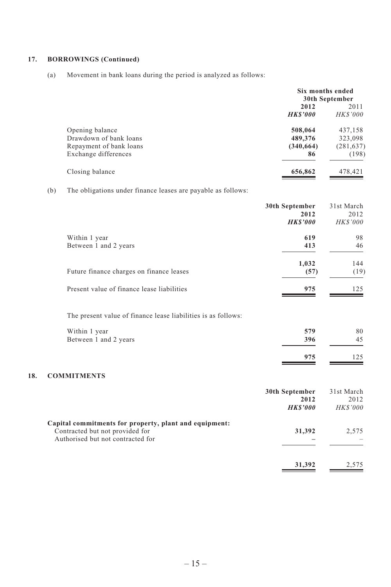#### **17. BORROWINGS (Continued)**

(a) Movement in bank loans during the period is analyzed as follows:

|                         | Six months ended<br>30th September |                 |
|-------------------------|------------------------------------|-----------------|
|                         | 2012                               |                 |
|                         | <b>HKS'000</b>                     | <b>HK\$'000</b> |
| Opening balance         | 508,064                            | 437,158         |
| Drawdown of bank loans  | 489,376                            | 323,098         |
| Repayment of bank loans | (340, 664)                         | (281, 637)      |
| Exchange differences    | 86                                 | (198)           |
| Closing balance         | 656,862                            | 478,421         |

(b) The obligations under finance leases are payable as follows:

|                                            | 30th September<br>2012<br><b>HKS'000</b> | 31st March<br>2012<br><i>HK\$'000</i> |
|--------------------------------------------|------------------------------------------|---------------------------------------|
| Within 1 year<br>Between 1 and 2 years     | 619<br>413                               | 98<br>46                              |
| Future finance charges on finance leases   | 1,032<br>(57)                            | 144<br>(19)                           |
| Present value of finance lease liabilities | 975                                      | 125                                   |

The present value of finance lease liabilities is as follows:

| Within 1 year         | 579 | 80  |
|-----------------------|-----|-----|
| Between 1 and 2 years | 396 | 45  |
|                       | 975 | 125 |

# **18. COMMITMENTS**

|                                                                                                                                | 30th September<br>2012<br><b>HKS'000</b> | 31st March<br>2012<br><b>HK\$'000</b> |
|--------------------------------------------------------------------------------------------------------------------------------|------------------------------------------|---------------------------------------|
| Capital commitments for property, plant and equipment:<br>Contracted but not provided for<br>Authorised but not contracted for | 31,392                                   | 2.575                                 |
|                                                                                                                                | 31,392                                   | 2.575                                 |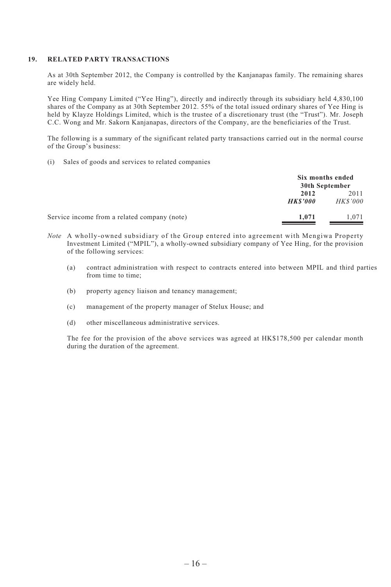#### **19. RELATED PARTY TRANSACTIONS**

As at 30th September 2012, the Company is controlled by the Kanjanapas family. The remaining shares are widely held.

Yee Hing Company Limited ("Yee Hing"), directly and indirectly through its subsidiary held 4,830,100 shares of the Company as at 30th September 2012. 55% of the total issued ordinary shares of Yee Hing is held by Klayze Holdings Limited, which is the trustee of a discretionary trust (the "Trust"). Mr. Joseph C.C. Wong and Mr. Sakorn Kanjanapas, directors of the Company, are the beneficiaries of the Trust.

The following is a summary of the significant related party transactions carried out in the normal course of the Group's business:

(i) Sales of goods and services to related companies

|                                              | Six months ended<br>30th September |                        |
|----------------------------------------------|------------------------------------|------------------------|
|                                              | 2012<br><b>HKS'000</b>             | 2011<br><b>HKS'000</b> |
| Service income from a related company (note) | 1.071                              | 1.071                  |

- *Note* A wholly-owned subsidiary of the Group entered into agreement with Mengiwa Property Investment Limited ("MPIL"), a wholly-owned subsidiary company of Yee Hing, for the provision of the following services:
	- (a) contract administration with respect to contracts entered into between MPIL and third parties from time to time;
	- (b) property agency liaison and tenancy management;
	- (c) management of the property manager of Stelux House; and
	- (d) other miscellaneous administrative services.

The fee for the provision of the above services was agreed at HK\$178,500 per calendar month during the duration of the agreement.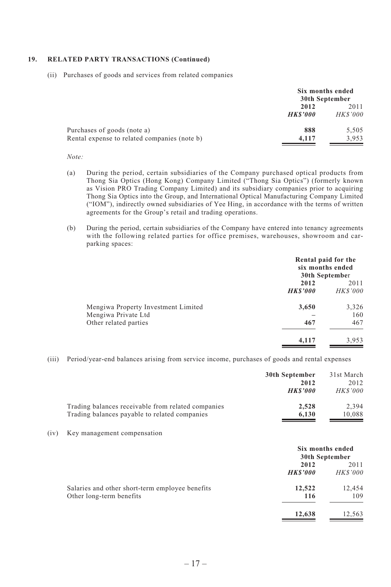#### **19. RELATED PARTY TRANSACTIONS (Continued)**

(ii) Purchases of goods and services from related companies

|                                              | Six months ended<br>30th September |                 |
|----------------------------------------------|------------------------------------|-----------------|
|                                              | 2012<br>2011                       |                 |
|                                              | <b>HKS'000</b>                     | <b>HK\$'000</b> |
| Purchases of goods (note a)                  | 888                                | 5.505           |
| Rental expense to related companies (note b) | 4.117                              | 3.953           |

#### *Note:*

- (a) During the period, certain subsidiaries of the Company purchased optical products from Thong Sia Optics (Hong Kong) Company Limited ("Thong Sia Optics") (formerly known as Vision PRO Trading Company Limited) and its subsidiary companies prior to acquiring Thong Sia Optics into the Group, and International Optical Manufacturing Company Limited ("IOM"), indirectly owned subsidiaries of Yee Hing, in accordance with the terms of written agreements for the Group's retail and trading operations.
- (b) During the period, certain subsidiaries of the Company have entered into tenancy agreements with the following related parties for office premises, warehouses, showroom and carparking spaces:

|                                              | Rental paid for the<br>six months ended<br>30th September |                        |
|----------------------------------------------|-----------------------------------------------------------|------------------------|
|                                              | 2012<br><b>HKS'000</b>                                    | 2011<br><b>HKS'000</b> |
| Mengiwa Property Investment Limited          | 3,650                                                     | 3,326                  |
| Mengiwa Private Ltd<br>Other related parties | 467                                                       | 160<br>467             |
|                                              | 4.117                                                     | 3,953                  |

(iii) Period/year-end balances arising from service income, purchases of goods and rental expenses

|      |                                                                                                     | 30th September<br>2012<br><b>HKS'000</b> | 31st March<br>2012<br><b>HKS'000</b> |
|------|-----------------------------------------------------------------------------------------------------|------------------------------------------|--------------------------------------|
|      | Trading balances receivable from related companies<br>Trading balances payable to related companies | 2,528<br>6,130                           | 2,394<br>10,088                      |
| (iv) | Key management compensation                                                                         |                                          |                                      |
|      |                                                                                                     | Six months ended<br>30th September       |                                      |
|      |                                                                                                     | 2012<br><b>HKS'000</b>                   | 2011<br><b>HKS'000</b>               |
|      | Salaries and other short-term employee benefits<br>Other long-term benefits                         | 12,522<br>116                            | 12,454<br>109                        |
|      |                                                                                                     | 12,638                                   | 12,563                               |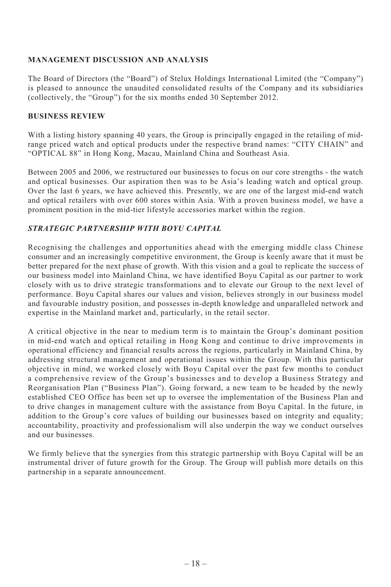## **MANAGEMENT DISCUSSION AND ANALYSIS**

The Board of Directors (the "Board") of Stelux Holdings International Limited (the "Company") is pleased to announce the unaudited consolidated results of the Company and its subsidiaries (collectively, the "Group") for the six months ended 30 September 2012.

#### **BUSINESS REVIEW**

With a listing history spanning 40 years, the Group is principally engaged in the retailing of midrange priced watch and optical products under the respective brand names: "CITY CHAIN" and "OPTICAL 88" in Hong Kong, Macau, Mainland China and Southeast Asia.

Between 2005 and 2006, we restructured our businesses to focus on our core strengths - the watch and optical businesses. Our aspiration then was to be Asia's leading watch and optical group. Over the last 6 years, we have achieved this. Presently, we are one of the largest mid-end watch and optical retailers with over 600 stores within Asia. With a proven business model, we have a prominent position in the mid-tier lifestyle accessories market within the region.

## *STRATEGIC PARTNERSHIP WITH BOYU CAPITAL*

Recognising the challenges and opportunities ahead with the emerging middle class Chinese consumer and an increasingly competitive environment, the Group is keenly aware that it must be better prepared for the next phase of growth. With this vision and a goal to replicate the success of our business model into Mainland China, we have identified Boyu Capital as our partner to work closely with us to drive strategic transformations and to elevate our Group to the next level of performance. Boyu Capital shares our values and vision, believes strongly in our business model and favourable industry position, and possesses in-depth knowledge and unparalleled network and expertise in the Mainland market and, particularly, in the retail sector.

A critical objective in the near to medium term is to maintain the Group's dominant position in mid-end watch and optical retailing in Hong Kong and continue to drive improvements in operational efficiency and financial results across the regions, particularly in Mainland China, by addressing structural management and operational issues within the Group. With this particular objective in mind, we worked closely with Boyu Capital over the past few months to conduct a comprehensive review of the Group's businesses and to develop a Business Strategy and Reorganisation Plan ("Business Plan"). Going forward, a new team to be headed by the newly established CEO Office has been set up to oversee the implementation of the Business Plan and to drive changes in management culture with the assistance from Boyu Capital. In the future, in addition to the Group's core values of building our businesses based on integrity and equality; accountability, proactivity and professionalism will also underpin the way we conduct ourselves and our businesses.

We firmly believe that the synergies from this strategic partnership with Boyu Capital will be an instrumental driver of future growth for the Group. The Group will publish more details on this partnership in a separate announcement.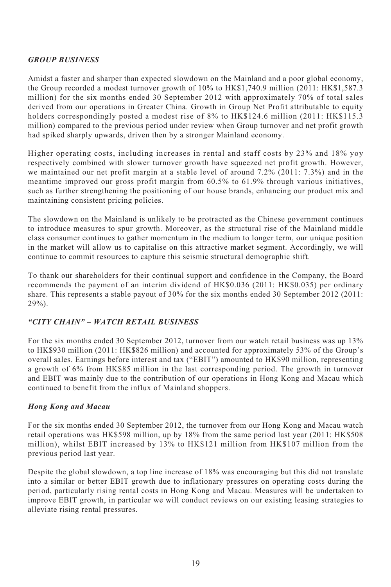# *GROUP BUSINESS*

Amidst a faster and sharper than expected slowdown on the Mainland and a poor global economy, the Group recorded a modest turnover growth of 10% to HK\$1,740.9 million (2011: HK\$1,587.3 million) for the six months ended 30 September 2012 with approximately 70% of total sales derived from our operations in Greater China. Growth in Group Net Profit attributable to equity holders correspondingly posted a modest rise of 8% to HK\$124.6 million (2011: HK\$115.3) million) compared to the previous period under review when Group turnover and net profit growth had spiked sharply upwards, driven then by a stronger Mainland economy.

Higher operating costs, including increases in rental and staff costs by 23% and 18% yoy respectively combined with slower turnover growth have squeezed net profit growth. However, we maintained our net profit margin at a stable level of around 7.2% (2011: 7.3%) and in the meantime improved our gross profit margin from 60.5% to 61.9% through various initiatives, such as further strengthening the positioning of our house brands, enhancing our product mix and maintaining consistent pricing policies.

The slowdown on the Mainland is unlikely to be protracted as the Chinese government continues to introduce measures to spur growth. Moreover, as the structural rise of the Mainland middle class consumer continues to gather momentum in the medium to longer term, our unique position in the market will allow us to capitalise on this attractive market segment. Accordingly, we will continue to commit resources to capture this seismic structural demographic shift.

To thank our shareholders for their continual support and confidence in the Company, the Board recommends the payment of an interim dividend of HK\$0.036 (2011: HK\$0.035) per ordinary share. This represents a stable payout of 30% for the six months ended 30 September 2012 (2011: 29%).

#### *"CITY CHAIN" – WATCH RETAIL BUSINESS*

For the six months ended 30 September 2012, turnover from our watch retail business was up 13% to HK\$930 million (2011: HK\$826 million) and accounted for approximately 53% of the Group's overall sales. Earnings before interest and tax ("EBIT") amounted to HK\$90 million, representing a growth of 6% from HK\$85 million in the last corresponding period. The growth in turnover and EBIT was mainly due to the contribution of our operations in Hong Kong and Macau which continued to benefit from the influx of Mainland shoppers.

#### *Hong Kong and Macau*

For the six months ended 30 September 2012, the turnover from our Hong Kong and Macau watch retail operations was HK\$598 million, up by 18% from the same period last year (2011: HK\$508 million), whilst EBIT increased by 13% to HK\$121 million from HK\$107 million from the previous period last year.

Despite the global slowdown, a top line increase of 18% was encouraging but this did not translate into a similar or better EBIT growth due to inflationary pressures on operating costs during the period, particularly rising rental costs in Hong Kong and Macau. Measures will be undertaken to improve EBIT growth, in particular we will conduct reviews on our existing leasing strategies to alleviate rising rental pressures.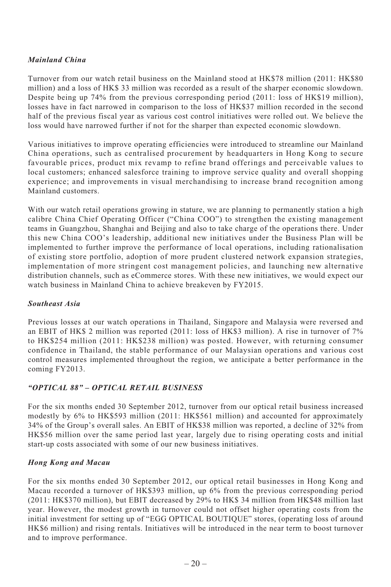# *Mainland China*

Turnover from our watch retail business on the Mainland stood at HK\$78 million (2011: HK\$80 million) and a loss of HK\$ 33 million was recorded as a result of the sharper economic slowdown. Despite being up 74% from the previous corresponding period (2011: loss of HK\$19 million), losses have in fact narrowed in comparison to the loss of HK\$37 million recorded in the second half of the previous fiscal year as various cost control initiatives were rolled out. We believe the loss would have narrowed further if not for the sharper than expected economic slowdown.

Various initiatives to improve operating efficiencies were introduced to streamline our Mainland China operations, such as centralised procurement by headquarters in Hong Kong to secure favourable prices, product mix revamp to refine brand offerings and perceivable values to local customers; enhanced salesforce training to improve service quality and overall shopping experience; and improvements in visual merchandising to increase brand recognition among Mainland customers.

With our watch retail operations growing in stature, we are planning to permanently station a high calibre China Chief Operating Officer ("China COO") to strengthen the existing management teams in Guangzhou, Shanghai and Beijing and also to take charge of the operations there. Under this new China COO's leadership, additional new initiatives under the Business Plan will be implemented to further improve the performance of local operations, including rationalisation of existing store portfolio, adoption of more prudent clustered network expansion strategies, implementation of more stringent cost management policies, and launching new alternative distribution channels, such as eCommerce stores. With these new initiatives, we would expect our watch business in Mainland China to achieve breakeven by FY2015.

#### *Southeast Asia*

Previous losses at our watch operations in Thailand, Singapore and Malaysia were reversed and an EBIT of HK\$ 2 million was reported (2011: loss of HK\$3 million). A rise in turnover of 7% to HK\$254 million (2011: HK\$238 million) was posted. However, with returning consumer confidence in Thailand, the stable performance of our Malaysian operations and various cost control measures implemented throughout the region, we anticipate a better performance in the coming FY2013.

# *"OPTICAL 88" – OPTICAL RETAIL BUSINESS*

For the six months ended 30 September 2012, turnover from our optical retail business increased modestly by 6% to HK\$593 million (2011: HK\$561 million) and accounted for approximately 34% of the Group's overall sales. An EBIT of HK\$38 million was reported, a decline of 32% from HK\$56 million over the same period last year, largely due to rising operating costs and initial start-up costs associated with some of our new business initiatives.

# *Hong Kong and Macau*

For the six months ended 30 September 2012, our optical retail businesses in Hong Kong and Macau recorded a turnover of HK\$393 million, up 6% from the previous corresponding period (2011: HK\$370 million), but EBIT decreased by 29% to HK\$ 34 million from HK\$48 million last year. However, the modest growth in turnover could not offset higher operating costs from the initial investment for setting up of "EGG OPTICAL BOUTIQUE" stores, (operating loss of around HK\$6 million) and rising rentals. Initiatives will be introduced in the near term to boost turnover and to improve performance.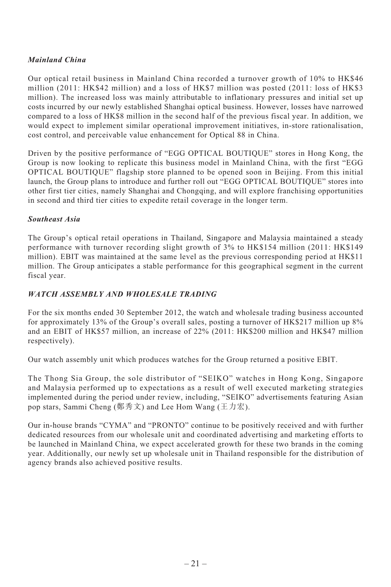# *Mainland China*

Our optical retail business in Mainland China recorded a turnover growth of 10% to HK\$46 million (2011: HK\$42 million) and a loss of HK\$7 million was posted (2011: loss of HK\$3 million). The increased loss was mainly attributable to inflationary pressures and initial set up costs incurred by our newly established Shanghai optical business. However, losses have narrowed compared to a loss of HK\$8 million in the second half of the previous fiscal year. In addition, we would expect to implement similar operational improvement initiatives, in-store rationalisation, cost control, and perceivable value enhancement for Optical 88 in China.

Driven by the positive performance of "EGG OPTICAL BOUTIQUE" stores in Hong Kong, the Group is now looking to replicate this business model in Mainland China, with the first "EGG OPTICAL BOUTIQUE" flagship store planned to be opened soon in Beijing. From this initial launch, the Group plans to introduce and further roll out "EGG OPTICAL BOUTIQUE" stores into other first tier cities, namely Shanghai and Chongqing, and will explore franchising opportunities in second and third tier cities to expedite retail coverage in the longer term.

## *Southeast Asia*

The Group's optical retail operations in Thailand, Singapore and Malaysia maintained a steady performance with turnover recording slight growth of 3% to HK\$154 million (2011: HK\$149 million). EBIT was maintained at the same level as the previous corresponding period at HK\$11 million. The Group anticipates a stable performance for this geographical segment in the current fiscal year.

# *WATCH ASSEMBLY AND WHOLESALE TRADING*

For the six months ended 30 September 2012, the watch and wholesale trading business accounted for approximately 13% of the Group's overall sales, posting a turnover of HK\$217 million up 8% and an EBIT of HK\$57 million, an increase of 22% (2011: HK\$200 million and HK\$47 million respectively).

Our watch assembly unit which produces watches for the Group returned a positive EBIT.

The Thong Sia Group, the sole distributor of "SEIKO" watches in Hong Kong, Singapore and Malaysia performed up to expectations as a result of well executed marketing strategies implemented during the period under review, including, "SEIKO" advertisements featuring Asian pop stars, Sammi Cheng (鄭秀文) and Lee Hom Wang (王力宏).

Our in-house brands "CYMA" and "PRONTO" continue to be positively received and with further dedicated resources from our wholesale unit and coordinated advertising and marketing efforts to be launched in Mainland China, we expect accelerated growth for these two brands in the coming year. Additionally, our newly set up wholesale unit in Thailand responsible for the distribution of agency brands also achieved positive results.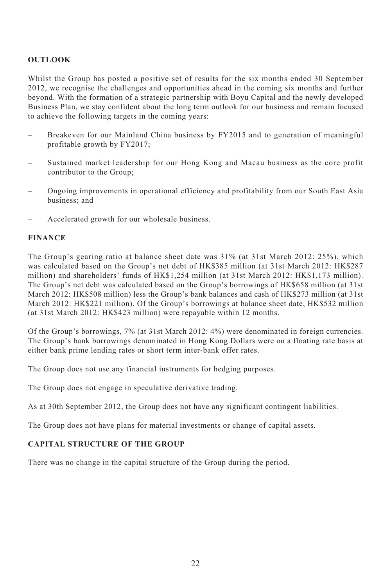#### **OUTLOOK**

Whilst the Group has posted a positive set of results for the six months ended 30 September 2012, we recognise the challenges and opportunities ahead in the coming six months and further beyond. With the formation of a strategic partnership with Boyu Capital and the newly developed Business Plan, we stay confident about the long term outlook for our business and remain focused to achieve the following targets in the coming years:

- Breakeven for our Mainland China business by FY2015 and to generation of meaningful profitable growth by FY2017;
- Sustained market leadership for our Hong Kong and Macau business as the core profit contributor to the Group;
- Ongoing improvements in operational efficiency and profitability from our South East Asia business; and
- Accelerated growth for our wholesale business.

## **FINANCE**

The Group's gearing ratio at balance sheet date was 31% (at 31st March 2012: 25%), which was calculated based on the Group's net debt of HK\$385 million (at 31st March 2012: HK\$287 million) and shareholders' funds of HK\$1,254 million (at 31st March 2012: HK\$1,173 million). The Group's net debt was calculated based on the Group's borrowings of HK\$658 million (at 31st March 2012: HK\$508 million) less the Group's bank balances and cash of HK\$273 million (at 31st March 2012: HK\$221 million). Of the Group's borrowings at balance sheet date, HK\$532 million (at 31st March 2012: HK\$423 million) were repayable within 12 months.

Of the Group's borrowings, 7% (at 31st March 2012: 4%) were denominated in foreign currencies. The Group's bank borrowings denominated in Hong Kong Dollars were on a floating rate basis at either bank prime lending rates or short term inter-bank offer rates.

The Group does not use any financial instruments for hedging purposes.

The Group does not engage in speculative derivative trading.

As at 30th September 2012, the Group does not have any significant contingent liabilities.

The Group does not have plans for material investments or change of capital assets.

## **CAPITAL STRUCTURE OF THE GROUP**

There was no change in the capital structure of the Group during the period.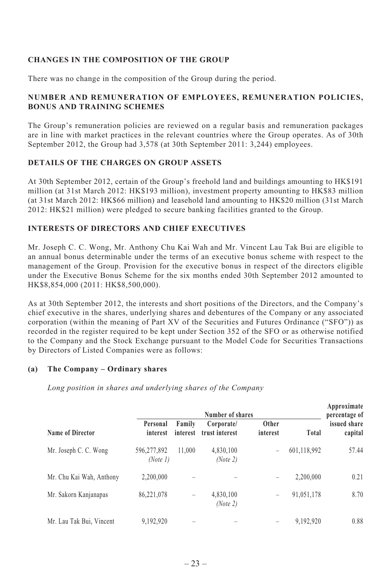## **CHANGES IN THE COMPOSITION OF THE GROUP**

There was no change in the composition of the Group during the period.

# **NUMBER AND REMUNERATION OF EMPLOYEES, REMUNERATION POLICIES, BONUS AND TRAINING SCHEMES**

The Group's remuneration policies are reviewed on a regular basis and remuneration packages are in line with market practices in the relevant countries where the Group operates. As of 30th September 2012, the Group had 3,578 (at 30th September 2011: 3,244) employees.

## **DETAILS OF THE CHARGES ON GROUP ASSETS**

At 30th September 2012, certain of the Group's freehold land and buildings amounting to HK\$191 million (at 31st March 2012: HK\$193 million), investment property amounting to HK\$83 million (at 31st March 2012: HK\$66 million) and leasehold land amounting to HK\$20 million (31st March 2012: HK\$21 million) were pledged to secure banking facilities granted to the Group.

# **INTERESTS OF DIRECTORS AND CHIEF EXECUTIVES**

Mr. Joseph C. C. Wong, Mr. Anthony Chu Kai Wah and Mr. Vincent Lau Tak Bui are eligible to an annual bonus determinable under the terms of an executive bonus scheme with respect to the management of the Group. Provision for the executive bonus in respect of the directors eligible under the Executive Bonus Scheme for the six months ended 30th September 2012 amounted to HK\$8,854,000 (2011: HK\$8,500,000).

As at 30th September 2012, the interests and short positions of the Directors, and the Company's chief executive in the shares, underlying shares and debentures of the Company or any associated corporation (within the meaning of Part XV of the Securities and Futures Ordinance ("SFO")) as recorded in the register required to be kept under Section 352 of the SFO or as otherwise notified to the Company and the Stock Exchange pursuant to the Model Code for Securities Transactions by Directors of Listed Companies were as follows:

#### **(a) The Company – Ordinary shares**

*Long position in shares and underlying shares of the Company*

|                          | Number of shares        |                    |                              |                   |             | Approximate<br>percentage of |
|--------------------------|-------------------------|--------------------|------------------------------|-------------------|-------------|------------------------------|
| Name of Director         | Personal<br>interest    | Family<br>interest | Corporate/<br>trust interest | Other<br>interest | Total       | issued share<br>capital      |
| Mr. Joseph C. C. Wong    | 596,277,892<br>(Note 1) | 11.000             | 4,830,100<br>(Note 2)        | -                 | 601,118,992 | 57.44                        |
| Mr. Chu Kai Wah, Anthony | 2.200.000               |                    |                              | -                 | 2.200.000   | 0.21                         |
| Mr. Sakorn Kanjanapas    | 86,221,078              | -                  | 4,830,100<br>(Note 2)        | -                 | 91,051,178  | 8.70                         |
| Mr. Lau Tak Bui, Vincent | 9,192,920               |                    |                              | -                 | 9.192.920   | 0.88                         |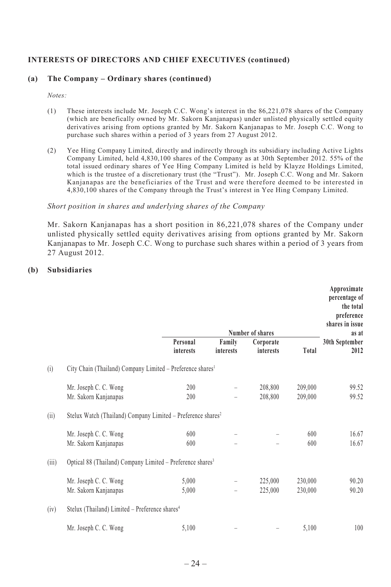#### **INTERESTS OF DIRECTORS AND CHIEF EXECUTIVES (continued)**

#### **(a) The Company – Ordinary shares (continued)**

*Notes:*

- (1) These interests include Mr. Joseph C.C. Wong's interest in the 86,221,078 shares of the Company (which are benefically owned by Mr. Sakorn Kanjanapas) under unlisted physically settled equity derivatives arising from options granted by Mr. Sakorn Kanjanapas to Mr. Joseph C.C. Wong to purchase such shares within a period of 3 years from 27 August 2012.
- (2) Yee Hing Company Limited, directly and indirectly through its subsidiary including Active Lights Company Limited, held 4,830,100 shares of the Company as at 30th September 2012. 55% of the total issued ordinary shares of Yee Hing Company Limited is held by Klayze Holdings Limited, which is the trustee of a discretionary trust (the "Trust"). Mr. Joseph C.C. Wong and Mr. Sakorn Kanjanapas are the beneficiaries of the Trust and were therefore deemed to be interested in 4,830,100 shares of the Company through the Trust's interest in Yee Hing Company Limited.

#### *Short position in shares and underlying shares of the Company*

Mr. Sakorn Kanjanapas has a short position in 86,221,078 shares of the Company under unlisted physically settled equity derivatives arising from options granted by Mr. Sakorn Kanjanapas to Mr. Joseph C.C. Wong to purchase such shares within a period of 3 years from 27 August 2012.

#### **(b) Subsidiaries**

|       |                                                                          |           |           | Number of shares |         | Approximate<br>percentage of<br>the total<br>preference<br>shares in issue<br>as at |
|-------|--------------------------------------------------------------------------|-----------|-----------|------------------|---------|-------------------------------------------------------------------------------------|
|       |                                                                          | Personal  | Family    | Corporate        |         | 30th September                                                                      |
|       |                                                                          | interests | interests | interests        | Total   | 2012                                                                                |
| (i)   | City Chain (Thailand) Company Limited - Preference shares <sup>1</sup>   |           |           |                  |         |                                                                                     |
|       | Mr. Joseph C. C. Wong                                                    | 200       |           | 208,800          | 209,000 | 99.52                                                                               |
|       | Mr. Sakorn Kanjanapas                                                    | 200       |           | 208,800          | 209,000 | 99.52                                                                               |
| (ii)  | Stelux Watch (Thailand) Company Limited - Preference shares <sup>2</sup> |           |           |                  |         |                                                                                     |
|       | Mr. Joseph C. C. Wong                                                    | 600       |           |                  | 600     | 16.67                                                                               |
|       | Mr. Sakorn Kanjanapas                                                    | 600       |           |                  | 600     | 16.67                                                                               |
| (iii) | Optical 88 (Thailand) Company Limited - Preference shares <sup>3</sup>   |           |           |                  |         |                                                                                     |
|       | Mr. Joseph C. C. Wong                                                    | 5,000     |           | 225,000          | 230,000 | 90.20                                                                               |
|       | Mr. Sakorn Kanjanapas                                                    | 5,000     |           | 225,000          | 230,000 | 90.20                                                                               |
| (iv)  | Stelux (Thailand) Limited - Preference shares <sup>4</sup>               |           |           |                  |         |                                                                                     |
|       | Mr. Joseph C. C. Wong                                                    | 5,100     |           |                  | 5,100   | 100                                                                                 |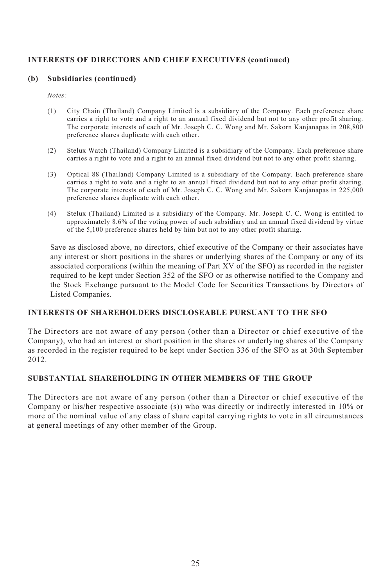## **INTERESTS OF DIRECTORS AND CHIEF EXECUTIVES (continued)**

#### **(b) Subsidiaries (continued)**

*Notes:*

- (1) City Chain (Thailand) Company Limited is a subsidiary of the Company. Each preference share carries a right to vote and a right to an annual fixed dividend but not to any other profit sharing. The corporate interests of each of Mr. Joseph C. C. Wong and Mr. Sakorn Kanjanapas in 208,800 preference shares duplicate with each other.
- (2) Stelux Watch (Thailand) Company Limited is a subsidiary of the Company. Each preference share carries a right to vote and a right to an annual fixed dividend but not to any other profit sharing.
- (3) Optical 88 (Thailand) Company Limited is a subsidiary of the Company. Each preference share carries a right to vote and a right to an annual fixed dividend but not to any other profit sharing. The corporate interests of each of Mr. Joseph C. C. Wong and Mr. Sakorn Kanjanapas in 225,000 preference shares duplicate with each other.
- (4) Stelux (Thailand) Limited is a subsidiary of the Company. Mr. Joseph C. C. Wong is entitled to approximately 8.6% of the voting power of such subsidiary and an annual fixed dividend by virtue of the 5,100 preference shares held by him but not to any other profit sharing.

Save as disclosed above, no directors, chief executive of the Company or their associates have any interest or short positions in the shares or underlying shares of the Company or any of its associated corporations (within the meaning of Part XV of the SFO) as recorded in the register required to be kept under Section 352 of the SFO or as otherwise notified to the Company and the Stock Exchange pursuant to the Model Code for Securities Transactions by Directors of Listed Companies.

#### **INTERESTS OF SHAREHOLDERS DISCLOSEABLE PURSUANT TO THE SFO**

The Directors are not aware of any person (other than a Director or chief executive of the Company), who had an interest or short position in the shares or underlying shares of the Company as recorded in the register required to be kept under Section 336 of the SFO as at 30th September 2012.

#### **SUBSTANTIAL SHAREHOLDING IN OTHER MEMBERS OF THE GROUP**

The Directors are not aware of any person (other than a Director or chief executive of the Company or his/her respective associate (s)) who was directly or indirectly interested in 10% or more of the nominal value of any class of share capital carrying rights to vote in all circumstances at general meetings of any other member of the Group.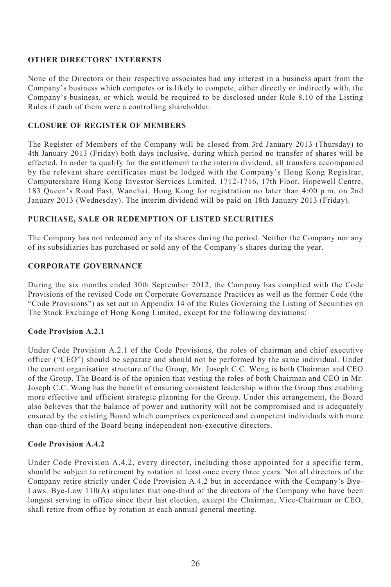#### **OTHER DIRECTORS' INTERESTS**

None of the Directors or their respective associates had any interest in a business apart from the Company's business which competes or is likely to compete, either directly or indirectly with, the Company's business, or which would be required to be disclosed under Rule 8.10 of the Listing Rules if each of them were a controlling shareholder.

## **CLOSURE OF REGISTER OF MEMBERS**

The Register of Members of the Company will be closed from 3rd January 2013 (Thursday) to 4th January 2013 (Friday) both days inclusive, during which period no transfer of shares will be effected. In order to qualify for the entitlement to the interim dividend, all transfers accompanied by the relevant share certificates must be lodged with the Company's Hong Kong Registrar, Computershare Hong Kong Investor Services Limited, 1712-1716, 17th Floor, Hopewell Centre, 183 Queen's Road East, Wanchai, Hong Kong for registration no later than 4:00 p.m. on 2nd January 2013 (Wednesday). The interim dividend will be paid on 18th January 2013 (Friday).

## **PURCHASE, SALE OR REDEMPTION OF LISTED SECURITIES**

The Company has not redeemed any of its shares during the period. Neither the Company nor any of its subsidiaries has purchased or sold any of the Company's shares during the year.

## **CORPORATE GOVERNANCE**

During the six months ended 30th September 2012, the Company has complied with the Code Provisions of the revised Code on Corporate Governance Practices as well as the former Code (the "Code Provisions") as set out in Appendix 14 of the Rules Governing the Listing of Securities on The Stock Exchange of Hong Kong Limited, except for the following deviations:

# **Code Provision A.2.1**

Under Code Provision A.2.1 of the Code Provisions, the roles of chairman and chief executive officer ("CEO") should be separate and should not be performed by the same individual. Under the current organisation structure of the Group, Mr. Joseph C.C. Wong is both Chairman and CEO of the Group. The Board is of the opinion that vesting the roles of both Chairman and CEO in Mr. Joseph C.C. Wong has the benefit of ensuring consistent leadership within the Group thus enabling more effective and efficient strategic planning for the Group. Under this arrangement, the Board also believes that the balance of power and authority will not be compromised and is adequately ensured by the existing Board which comprises experienced and competent individuals with more than one-third of the Board being independent non-executive directors.

#### **Code Provision A.4.2**

Under Code Provision A.4.2, every director, including those appointed for a specific term, should be subject to retirement by rotation at least once every three years. Not all directors of the Company retire strictly under Code Provision A.4.2 but in accordance with the Company's Bye-Laws. Bye-Law 110(A) stipulates that one-third of the directors of the Company who have been longest serving in office since their last election, except the Chairman, Vice-Chairman or CEO, shall retire from office by rotation at each annual general meeting.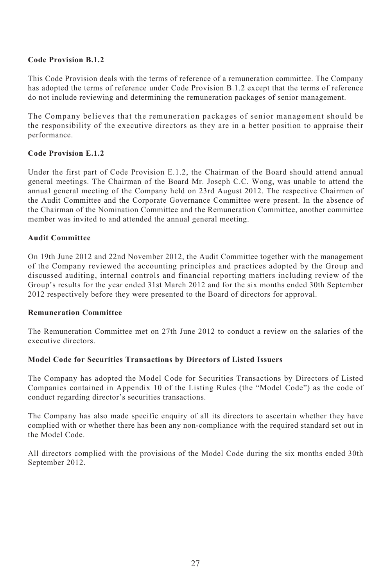## **Code Provision B.1.2**

This Code Provision deals with the terms of reference of a remuneration committee. The Company has adopted the terms of reference under Code Provision B.1.2 except that the terms of reference do not include reviewing and determining the remuneration packages of senior management.

The Company believes that the remuneration packages of senior management should be the responsibility of the executive directors as they are in a better position to appraise their performance.

## **Code Provision E.1.2**

Under the first part of Code Provision E.1.2, the Chairman of the Board should attend annual general meetings. The Chairman of the Board Mr. Joseph C.C. Wong, was unable to attend the annual general meeting of the Company held on 23rd August 2012. The respective Chairmen of the Audit Committee and the Corporate Governance Committee were present. In the absence of the Chairman of the Nomination Committee and the Remuneration Committee, another committee member was invited to and attended the annual general meeting.

#### **Audit Committee**

On 19th June 2012 and 22nd November 2012, the Audit Committee together with the management of the Company reviewed the accounting principles and practices adopted by the Group and discussed auditing, internal controls and financial reporting matters including review of the Group's results for the year ended 31st March 2012 and for the six months ended 30th September 2012 respectively before they were presented to the Board of directors for approval.

#### **Remuneration Committee**

The Remuneration Committee met on 27th June 2012 to conduct a review on the salaries of the executive directors.

#### **Model Code for Securities Transactions by Directors of Listed Issuers**

The Company has adopted the Model Code for Securities Transactions by Directors of Listed Companies contained in Appendix 10 of the Listing Rules (the "Model Code") as the code of conduct regarding director's securities transactions.

The Company has also made specific enquiry of all its directors to ascertain whether they have complied with or whether there has been any non-compliance with the required standard set out in the Model Code.

All directors complied with the provisions of the Model Code during the six months ended 30th September 2012.